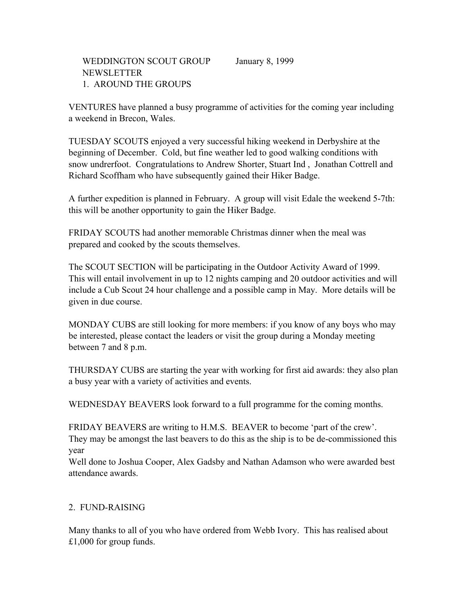VENTURES have planned a busy programme of activities for the coming year including a weekend in Brecon, Wales.

TUESDAY SCOUTS enjoyed a very successful hiking weekend in Derbyshire at the beginning of December. Cold, but fine weather led to good walking conditions with snow undrerfoot. Congratulations to Andrew Shorter, Stuart Ind , Jonathan Cottrell and Richard Scoffham who have subsequently gained their Hiker Badge.

A further expedition is planned in February. A group will visit Edale the weekend 5-7th: this will be another opportunity to gain the Hiker Badge.

FRIDAY SCOUTS had another memorable Christmas dinner when the meal was prepared and cooked by the scouts themselves.

The SCOUT SECTION will be participating in the Outdoor Activity Award of 1999. This will entail involvement in up to 12 nights camping and 20 outdoor activities and will include a Cub Scout 24 hour challenge and a possible camp in May. More details will be given in due course.

MONDAY CUBS are still looking for more members: if you know of any boys who may be interested, please contact the leaders or visit the group during a Monday meeting between 7 and 8 p.m.

THURSDAY CUBS are starting the year with working for first aid awards: they also plan a busy year with a variety of activities and events.

WEDNESDAY BEAVERS look forward to a full programme for the coming months.

FRIDAY BEAVERS are writing to H.M.S. BEAVER to become 'part of the crew'. They may be amongst the last beavers to do this as the ship is to be de-commissioned this year

Well done to Joshua Cooper, Alex Gadsby and Nathan Adamson who were awarded best attendance awards.

# 2. FUND-RAISING

Many thanks to all of you who have ordered from Webb Ivory. This has realised about £1,000 for group funds.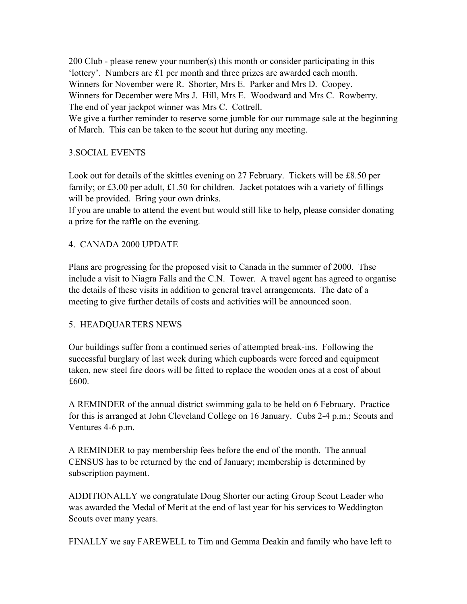200 Club - please renew your number(s) this month or consider participating in this 'lottery'. Numbers are £1 per month and three prizes are awarded each month. Winners for November were R. Shorter, Mrs E. Parker and Mrs D. Coopey. Winners for December were Mrs J. Hill, Mrs E. Woodward and Mrs C. Rowberry. The end of year jackpot winner was Mrs C. Cottrell.

We give a further reminder to reserve some jumble for our rummage sale at the beginning of March. This can be taken to the scout hut during any meeting.

## 3.SOCIAL EVENTS

Look out for details of the skittles evening on 27 February. Tickets will be £8.50 per family; or £3.00 per adult, £1.50 for children. Jacket potatoes wih a variety of fillings will be provided. Bring your own drinks.

If you are unable to attend the event but would still like to help, please consider donating a prize for the raffle on the evening.

## 4. CANADA 2000 UPDATE

Plans are progressing for the proposed visit to Canada in the summer of 2000. Thse include a visit to Niagra Falls and the C.N. Tower. A travel agent has agreed to organise the details of these visits in addition to general travel arrangements. The date of a meeting to give further details of costs and activities will be announced soon.

## 5. HEADQUARTERS NEWS

Our buildings suffer from a continued series of attempted break-ins. Following the successful burglary of last week during which cupboards were forced and equipment taken, new steel fire doors will be fitted to replace the wooden ones at a cost of about £600.

A REMINDER of the annual district swimming gala to be held on 6 February. Practice for this is arranged at John Cleveland College on 16 January. Cubs 2-4 p.m.; Scouts and Ventures 4-6 p.m.

A REMINDER to pay membership fees before the end of the month. The annual CENSUS has to be returned by the end of January; membership is determined by subscription payment.

ADDITIONALLY we congratulate Doug Shorter our acting Group Scout Leader who was awarded the Medal of Merit at the end of last year for his services to Weddington Scouts over many years.

FINALLY we say FAREWELL to Tim and Gemma Deakin and family who have left to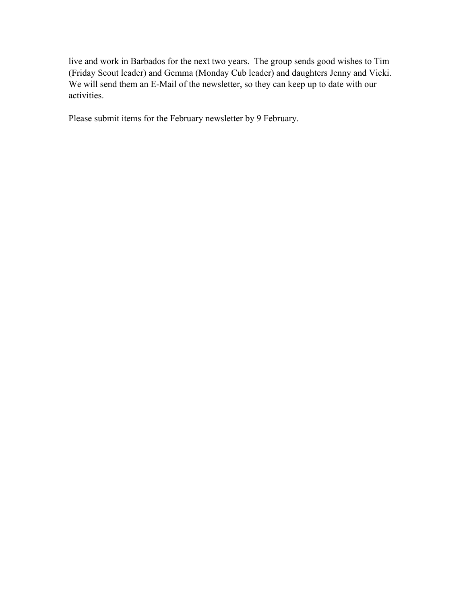live and work in Barbados for the next two years. The group sends good wishes to Tim (Friday Scout leader) and Gemma (Monday Cub leader) and daughters Jenny and Vicki. We will send them an E-Mail of the newsletter, so they can keep up to date with our activities.

Please submit items for the February newsletter by 9 February.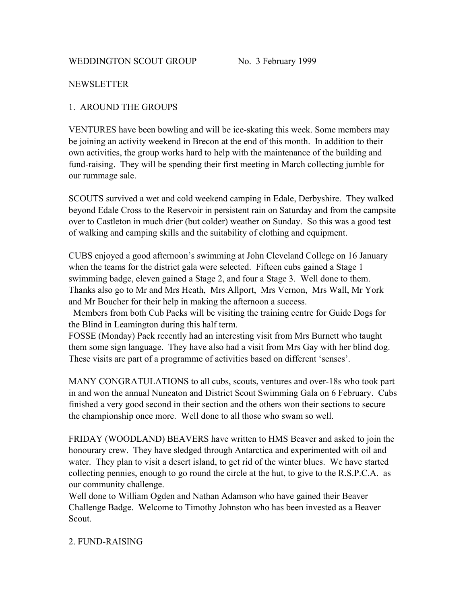#### **NEWSLETTER**

#### 1. AROUND THE GROUPS

VENTURES have been bowling and will be ice-skating this week. Some members may be joining an activity weekend in Brecon at the end of this month. In addition to their own activities, the group works hard to help with the maintenance of the building and fund-raising. They will be spending their first meeting in March collecting jumble for our rummage sale.

SCOUTS survived a wet and cold weekend camping in Edale, Derbyshire. They walked beyond Edale Cross to the Reservoir in persistent rain on Saturday and from the campsite over to Castleton in much drier (but colder) weather on Sunday. So this was a good test of walking and camping skills and the suitability of clothing and equipment.

CUBS enjoyed a good afternoon's swimming at John Cleveland College on 16 January when the teams for the district gala were selected. Fifteen cubs gained a Stage 1 swimming badge, eleven gained a Stage 2, and four a Stage 3. Well done to them. Thanks also go to Mr and Mrs Heath, Mrs Allport, Mrs Vernon, Mrs Wall, Mr York and Mr Boucher for their help in making the afternoon a success.

 Members from both Cub Packs will be visiting the training centre for Guide Dogs for the Blind in Leamington during this half term.

FOSSE (Monday) Pack recently had an interesting visit from Mrs Burnett who taught them some sign language. They have also had a visit from Mrs Gay with her blind dog. These visits are part of a programme of activities based on different 'senses'.

MANY CONGRATULATIONS to all cubs, scouts, ventures and over-18s who took part in and won the annual Nuneaton and District Scout Swimming Gala on 6 February. Cubs finished a very good second in their section and the others won their sections to secure the championship once more. Well done to all those who swam so well.

FRIDAY (WOODLAND) BEAVERS have written to HMS Beaver and asked to join the honourary crew. They have sledged through Antarctica and experimented with oil and water. They plan to visit a desert island, to get rid of the winter blues. We have started collecting pennies, enough to go round the circle at the hut, to give to the R.S.P.C.A. as our community challenge.

Well done to William Ogden and Nathan Adamson who have gained their Beaver Challenge Badge. Welcome to Timothy Johnston who has been invested as a Beaver Scout.

## 2. FUND-RAISING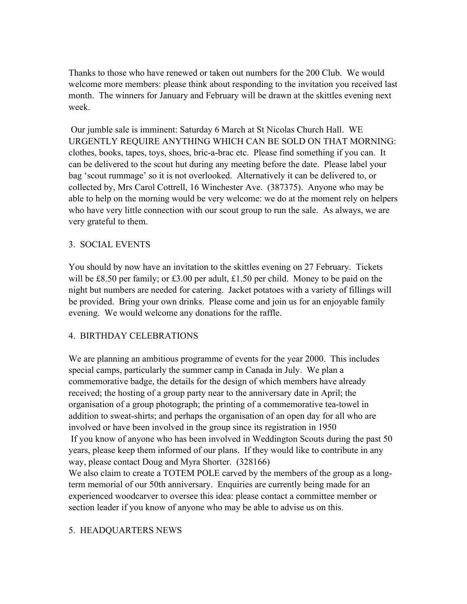Thanks to those who have renewed or taken out numbers for the 200 Club. We would welcome more members: please think about responding to the invitation you received last month. The winners for January and February will be drawn at the skittles evening next week.

 Our jumble sale is imminent: Saturday 6 March at St Nicolas Church Hall. WE URGENTLY REQUIRE ANYTHING WHICH CAN BE SOLD ON THAT MORNING: clothes, books, tapes, toys, shoes, bric-a-brac etc. Please find something if you can. It can be delivered to the scout hut during any meeting before the date. Please label your bag 'scout rummage' so it is not overlooked. Alternatively it can be delivered to, or collected by, Mrs Carol Cottrell, 16 Winchester Ave. (387375). Anyone who may be able to help on the morning would be very welcome: we do at the moment rely on helpers who have very little connection with our scout group to run the sale. As always, we are very grateful to them.

# 3. SOCIAL EVENTS

You should by now have an invitation to the skittles evening on 27 February. Tickets will be £8.50 per family; or £3.00 per adult, £1.50 per child. Money to be paid on the night but numbers are needed for catering. Jacket potatoes with a variety of fillings will be provided. Bring your own drinks. Please come and join us for an enjoyable family evening. We would welcome any donations for the raffle.

## 4. BIRTHDAY CELEBRATIONS

We are planning an ambitious programme of events for the year 2000. This includes special camps, particularly the summer camp in Canada in July. We plan a commemorative badge, the details for the design of which members have already received; the hosting of a group party near to the anniversary date in April; the organisation of a group photograph; the printing of a commemorative tea-towel in addition to sweat-shirts; and perhaps the organisation of an open day for all who are involved or have been involved in the group since its registration in 1950 If you know of anyone who has been involved in Weddington Scouts during the past 50 years, please keep them informed of our plans. If they would like to contribute in any way, please contact Doug and Myra Shorter. (328166) We also claim to create a TOTEM POLE carved by the members of the group as a long-

term memorial of our 50th anniversary. Enquiries are currently being made for an experienced woodcarver to oversee this idea: please contact a committee member or section leader if you know of anyone who may be able to advise us on this.

## 5. HEADQUARTERS NEWS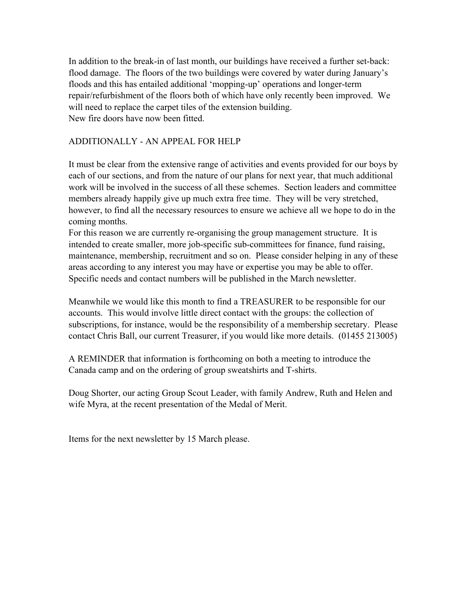In addition to the break-in of last month, our buildings have received a further set-back: flood damage. The floors of the two buildings were covered by water during January's floods and this has entailed additional 'mopping-up' operations and longer-term repair/refurbishment of the floors both of which have only recently been improved. We will need to replace the carpet tiles of the extension building. New fire doors have now been fitted.

## ADDITIONALLY - AN APPEAL FOR HELP

It must be clear from the extensive range of activities and events provided for our boys by each of our sections, and from the nature of our plans for next year, that much additional work will be involved in the success of all these schemes. Section leaders and committee members already happily give up much extra free time. They will be very stretched, however, to find all the necessary resources to ensure we achieve all we hope to do in the coming months.

For this reason we are currently re-organising the group management structure. It is intended to create smaller, more job-specific sub-committees for finance, fund raising, maintenance, membership, recruitment and so on. Please consider helping in any of these areas according to any interest you may have or expertise you may be able to offer. Specific needs and contact numbers will be published in the March newsletter.

Meanwhile we would like this month to find a TREASURER to be responsible for our accounts. This would involve little direct contact with the groups: the collection of subscriptions, for instance, would be the responsibility of a membership secretary. Please contact Chris Ball, our current Treasurer, if you would like more details. (01455 213005)

A REMINDER that information is forthcoming on both a meeting to introduce the Canada camp and on the ordering of group sweatshirts and T-shirts.

Doug Shorter, our acting Group Scout Leader, with family Andrew, Ruth and Helen and wife Myra, at the recent presentation of the Medal of Merit.

Items for the next newsletter by 15 March please.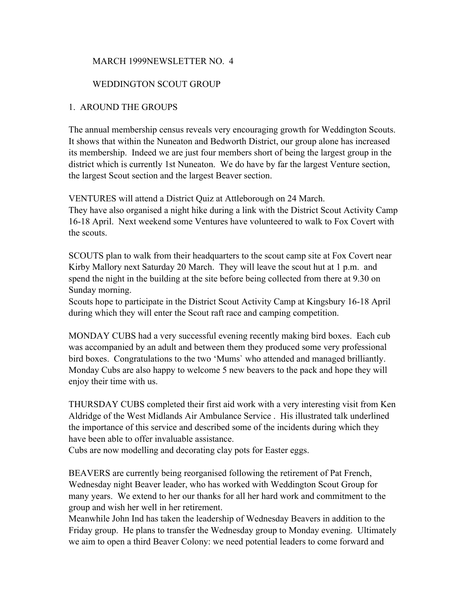#### MARCH 1999NEWSLETTER NO. 4

#### WEDDINGTON SCOUT GROUP

#### 1. AROUND THE GROUPS

The annual membership census reveals very encouraging growth for Weddington Scouts. It shows that within the Nuneaton and Bedworth District, our group alone has increased its membership. Indeed we are just four members short of being the largest group in the district which is currently 1st Nuneaton. We do have by far the largest Venture section, the largest Scout section and the largest Beaver section.

VENTURES will attend a District Quiz at Attleborough on 24 March. They have also organised a night hike during a link with the District Scout Activity Camp 16-18 April. Next weekend some Ventures have volunteered to walk to Fox Covert with the scouts.

SCOUTS plan to walk from their headquarters to the scout camp site at Fox Covert near Kirby Mallory next Saturday 20 March. They will leave the scout hut at 1 p.m. and spend the night in the building at the site before being collected from there at 9.30 on Sunday morning.

Scouts hope to participate in the District Scout Activity Camp at Kingsbury 16-18 April during which they will enter the Scout raft race and camping competition.

MONDAY CUBS had a very successful evening recently making bird boxes. Each cub was accompanied by an adult and between them they produced some very professional bird boxes. Congratulations to the two 'Mums` who attended and managed brilliantly. Monday Cubs are also happy to welcome 5 new beavers to the pack and hope they will enjoy their time with us.

THURSDAY CUBS completed their first aid work with a very interesting visit from Ken Aldridge of the West Midlands Air Ambulance Service . His illustrated talk underlined the importance of this service and described some of the incidents during which they have been able to offer invaluable assistance.

Cubs are now modelling and decorating clay pots for Easter eggs.

BEAVERS are currently being reorganised following the retirement of Pat French, Wednesday night Beaver leader, who has worked with Weddington Scout Group for many years. We extend to her our thanks for all her hard work and commitment to the group and wish her well in her retirement.

Meanwhile John Ind has taken the leadership of Wednesday Beavers in addition to the Friday group. He plans to transfer the Wednesday group to Monday evening. Ultimately we aim to open a third Beaver Colony: we need potential leaders to come forward and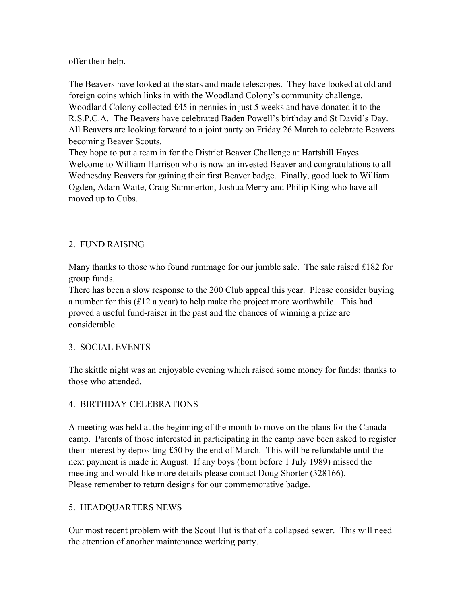offer their help.

The Beavers have looked at the stars and made telescopes. They have looked at old and foreign coins which links in with the Woodland Colony's community challenge. Woodland Colony collected £45 in pennies in just 5 weeks and have donated it to the R.S.P.C.A. The Beavers have celebrated Baden Powell's birthday and St David's Day. All Beavers are looking forward to a joint party on Friday 26 March to celebrate Beavers becoming Beaver Scouts.

They hope to put a team in for the District Beaver Challenge at Hartshill Hayes. Welcome to William Harrison who is now an invested Beaver and congratulations to all Wednesday Beavers for gaining their first Beaver badge. Finally, good luck to William Ogden, Adam Waite, Craig Summerton, Joshua Merry and Philip King who have all moved up to Cubs.

# 2. FUND RAISING

Many thanks to those who found rummage for our jumble sale. The sale raised £182 for group funds.

There has been a slow response to the 200 Club appeal this year. Please consider buying a number for this (£12 a year) to help make the project more worthwhile. This had proved a useful fund-raiser in the past and the chances of winning a prize are considerable.

## 3. SOCIAL EVENTS

The skittle night was an enjoyable evening which raised some money for funds: thanks to those who attended.

# 4. BIRTHDAY CELEBRATIONS

A meeting was held at the beginning of the month to move on the plans for the Canada camp. Parents of those interested in participating in the camp have been asked to register their interest by depositing £50 by the end of March. This will be refundable until the next payment is made in August. If any boys (born before 1 July 1989) missed the meeting and would like more details please contact Doug Shorter (328166). Please remember to return designs for our commemorative badge.

# 5. HEADQUARTERS NEWS

Our most recent problem with the Scout Hut is that of a collapsed sewer. This will need the attention of another maintenance working party.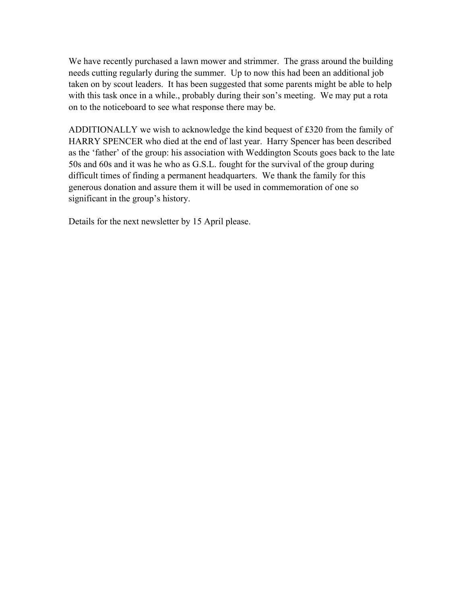We have recently purchased a lawn mower and strimmer. The grass around the building needs cutting regularly during the summer. Up to now this had been an additional job taken on by scout leaders. It has been suggested that some parents might be able to help with this task once in a while., probably during their son's meeting. We may put a rota on to the noticeboard to see what response there may be.

ADDITIONALLY we wish to acknowledge the kind bequest of £320 from the family of HARRY SPENCER who died at the end of last year. Harry Spencer has been described as the 'father' of the group: his association with Weddington Scouts goes back to the late 50s and 60s and it was he who as G.S.L. fought for the survival of the group during difficult times of finding a permanent headquarters. We thank the family for this generous donation and assure them it will be used in commemoration of one so significant in the group's history.

Details for the next newsletter by 15 April please.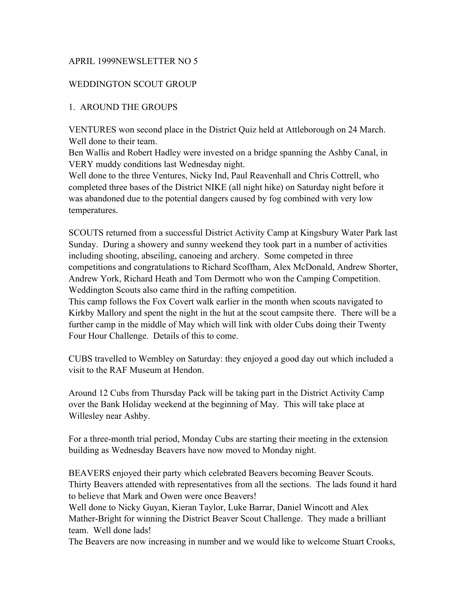#### APRIL 1999NEWSLETTER NO 5

#### WEDDINGTON SCOUT GROUP

#### 1. AROUND THE GROUPS

VENTURES won second place in the District Quiz held at Attleborough on 24 March. Well done to their team.

Ben Wallis and Robert Hadley were invested on a bridge spanning the Ashby Canal, in VERY muddy conditions last Wednesday night.

Well done to the three Ventures, Nicky Ind, Paul Reavenhall and Chris Cottrell, who completed three bases of the District NIKE (all night hike) on Saturday night before it was abandoned due to the potential dangers caused by fog combined with very low temperatures.

SCOUTS returned from a successful District Activity Camp at Kingsbury Water Park last Sunday. During a showery and sunny weekend they took part in a number of activities including shooting, abseiling, canoeing and archery. Some competed in three competitions and congratulations to Richard Scoffham, Alex McDonald, Andrew Shorter, Andrew York, Richard Heath and Tom Dermott who won the Camping Competition. Weddington Scouts also came third in the rafting competition.

This camp follows the Fox Covert walk earlier in the month when scouts navigated to Kirkby Mallory and spent the night in the hut at the scout campsite there. There will be a further camp in the middle of May which will link with older Cubs doing their Twenty Four Hour Challenge. Details of this to come.

CUBS travelled to Wembley on Saturday: they enjoyed a good day out which included a visit to the RAF Museum at Hendon.

Around 12 Cubs from Thursday Pack will be taking part in the District Activity Camp over the Bank Holiday weekend at the beginning of May. This will take place at Willesley near Ashby.

For a three-month trial period, Monday Cubs are starting their meeting in the extension building as Wednesday Beavers have now moved to Monday night.

BEAVERS enjoyed their party which celebrated Beavers becoming Beaver Scouts. Thirty Beavers attended with representatives from all the sections. The lads found it hard to believe that Mark and Owen were once Beavers!

Well done to Nicky Guyan, Kieran Taylor, Luke Barrar, Daniel Wincott and Alex Mather-Bright for winning the District Beaver Scout Challenge. They made a brilliant team. Well done lads!

The Beavers are now increasing in number and we would like to welcome Stuart Crooks,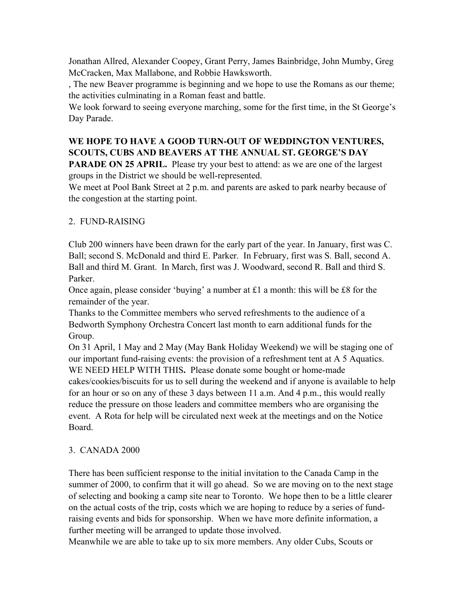Jonathan Allred, Alexander Coopey, Grant Perry, James Bainbridge, John Mumby, Greg McCracken, Max Mallabone, and Robbie Hawksworth.

, The new Beaver programme is beginning and we hope to use the Romans as our theme; the activities culminating in a Roman feast and battle.

We look forward to seeing everyone marching, some for the first time, in the St George's Day Parade.

# **WE HOPE TO HAVE A GOOD TURN-OUT OF WEDDINGTON VENTURES, SCOUTS, CUBS AND BEAVERS AT THE ANNUAL ST. GEORGE'S DAY**

**PARADE ON 25 APRIL.** Please try your best to attend: as we are one of the largest groups in the District we should be well-represented.

We meet at Pool Bank Street at 2 p.m. and parents are asked to park nearby because of the congestion at the starting point.

# 2. FUND-RAISING

Club 200 winners have been drawn for the early part of the year. In January, first was C. Ball; second S. McDonald and third E. Parker. In February, first was S. Ball, second A. Ball and third M. Grant. In March, first was J. Woodward, second R. Ball and third S. Parker.

Once again, please consider 'buying' a number at £1 a month: this will be £8 for the remainder of the year.

Thanks to the Committee members who served refreshments to the audience of a Bedworth Symphony Orchestra Concert last month to earn additional funds for the Group.

On 31 April, 1 May and 2 May (May Bank Holiday Weekend) we will be staging one of our important fund-raising events: the provision of a refreshment tent at A 5 Aquatics. WE NEED HELP WITH THIS**.** Please donate some bought or home-made cakes/cookies/biscuits for us to sell during the weekend and if anyone is available to help for an hour or so on any of these 3 days between 11 a.m. And 4 p.m., this would really reduce the pressure on those leaders and committee members who are organising the event. A Rota for help will be circulated next week at the meetings and on the Notice Board.

## 3. CANADA 2000

There has been sufficient response to the initial invitation to the Canada Camp in the summer of 2000, to confirm that it will go ahead. So we are moving on to the next stage of selecting and booking a camp site near to Toronto. We hope then to be a little clearer on the actual costs of the trip, costs which we are hoping to reduce by a series of fundraising events and bids for sponsorship. When we have more definite information, a further meeting will be arranged to update those involved.

Meanwhile we are able to take up to six more members. Any older Cubs, Scouts or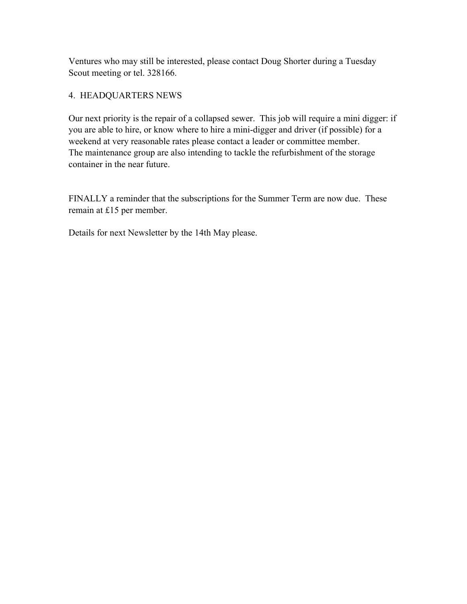Ventures who may still be interested, please contact Doug Shorter during a Tuesday Scout meeting or tel. 328166.

## 4. HEADQUARTERS NEWS

Our next priority is the repair of a collapsed sewer. This job will require a mini digger: if you are able to hire, or know where to hire a mini-digger and driver (if possible) for a weekend at very reasonable rates please contact a leader or committee member. The maintenance group are also intending to tackle the refurbishment of the storage container in the near future.

FINALLY a reminder that the subscriptions for the Summer Term are now due. These remain at £15 per member.

Details for next Newsletter by the 14th May please.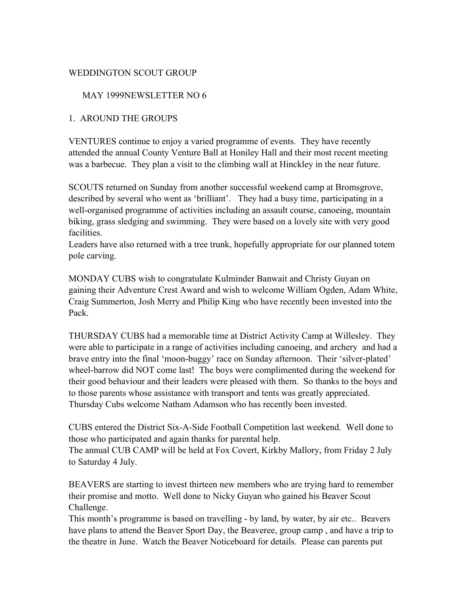#### WEDDINGTON SCOUT GROUP

#### MAY 1999NEWSLETTER NO 6

#### 1. AROUND THE GROUPS

VENTURES continue to enjoy a varied programme of events. They have recently attended the annual County Venture Ball at Honiley Hall and their most recent meeting was a barbecue. They plan a visit to the climbing wall at Hinckley in the near future.

SCOUTS returned on Sunday from another successful weekend camp at Bromsgrove, described by several who went as 'brilliant'. They had a busy time, participating in a well-organised programme of activities including an assault course, canoeing, mountain biking, grass sledging and swimming. They were based on a lovely site with very good facilities.

Leaders have also returned with a tree trunk, hopefully appropriate for our planned totem pole carving.

MONDAY CUBS wish to congratulate Kulminder Banwait and Christy Guyan on gaining their Adventure Crest Award and wish to welcome William Ogden, Adam White, Craig Summerton, Josh Merry and Philip King who have recently been invested into the Pack.

THURSDAY CUBS had a memorable time at District Activity Camp at Willesley. They were able to participate in a range of activities including canoeing, and archery and had a brave entry into the final 'moon-buggy' race on Sunday afternoon. Their 'silver-plated' wheel-barrow did NOT come last! The boys were complimented during the weekend for their good behaviour and their leaders were pleased with them. So thanks to the boys and to those parents whose assistance with transport and tents was greatly appreciated. Thursday Cubs welcome Natham Adamson who has recently been invested.

CUBS entered the District Six-A-Side Football Competition last weekend. Well done to those who participated and again thanks for parental help.

The annual CUB CAMP will be held at Fox Covert, Kirkby Mallory, from Friday 2 July to Saturday 4 July.

BEAVERS are starting to invest thirteen new members who are trying hard to remember their promise and motto. Well done to Nicky Guyan who gained his Beaver Scout Challenge.

This month's programme is based on travelling - by land, by water, by air etc.. Beavers have plans to attend the Beaver Sport Day, the Beaveree, group camp , and have a trip to the theatre in June. Watch the Beaver Noticeboard for details. Please can parents put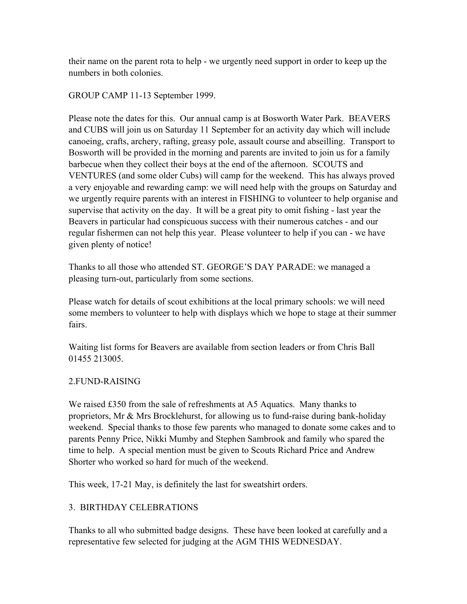their name on the parent rota to help - we urgently need support in order to keep up the numbers in both colonies.

GROUP CAMP 11-13 September 1999.

Please note the dates for this. Our annual camp is at Bosworth Water Park. BEAVERS and CUBS will join us on Saturday 11 September for an activity day which will include canoeing, crafts, archery, rafting, greasy pole, assault course and abseilling. Transport to Bosworth will be provided in the morning and parents are invited to join us for a family barbecue when they collect their boys at the end of the afternoon. SCOUTS and VENTURES (and some older Cubs) will camp for the weekend. This has always proved a very enjoyable and rewarding camp: we will need help with the groups on Saturday and we urgently require parents with an interest in FISHING to volunteer to help organise and supervise that activity on the day. It will be a great pity to omit fishing - last year the Beavers in particular had conspicuous success with their numerous catches - and our regular fishermen can not help this year. Please volunteer to help if you can - we have given plenty of notice!

Thanks to all those who attended ST. GEORGE'S DAY PARADE: we managed a pleasing turn-out, particularly from some sections.

Please watch for details of scout exhibitions at the local primary schools: we will need some members to volunteer to help with displays which we hope to stage at their summer fairs.

Waiting list forms for Beavers are available from section leaders or from Chris Ball 01455 213005.

# 2.FUND-RAISING

We raised £350 from the sale of refreshments at A5 Aquatics. Many thanks to proprietors, Mr & Mrs Brocklehurst, for allowing us to fund-raise during bank-holiday weekend. Special thanks to those few parents who managed to donate some cakes and to parents Penny Price, Nikki Mumby and Stephen Sambrook and family who spared the time to help. A special mention must be given to Scouts Richard Price and Andrew Shorter who worked so hard for much of the weekend.

This week, 17-21 May, is definitely the last for sweatshirt orders.

# 3. BIRTHDAY CELEBRATIONS

Thanks to all who submitted badge designs. These have been looked at carefully and a representative few selected for judging at the AGM THIS WEDNESDAY.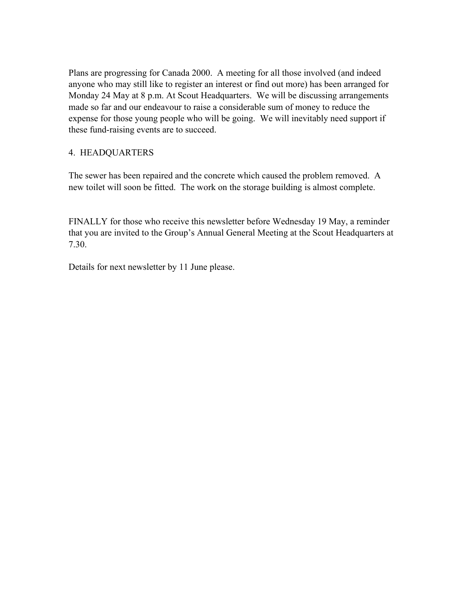Plans are progressing for Canada 2000. A meeting for all those involved (and indeed anyone who may still like to register an interest or find out more) has been arranged for Monday 24 May at 8 p.m. At Scout Headquarters. We will be discussing arrangements made so far and our endeavour to raise a considerable sum of money to reduce the expense for those young people who will be going. We will inevitably need support if these fund-raising events are to succeed.

## 4. HEADQUARTERS

The sewer has been repaired and the concrete which caused the problem removed. A new toilet will soon be fitted. The work on the storage building is almost complete.

FINALLY for those who receive this newsletter before Wednesday 19 May, a reminder that you are invited to the Group's Annual General Meeting at the Scout Headquarters at 7.30.

Details for next newsletter by 11 June please.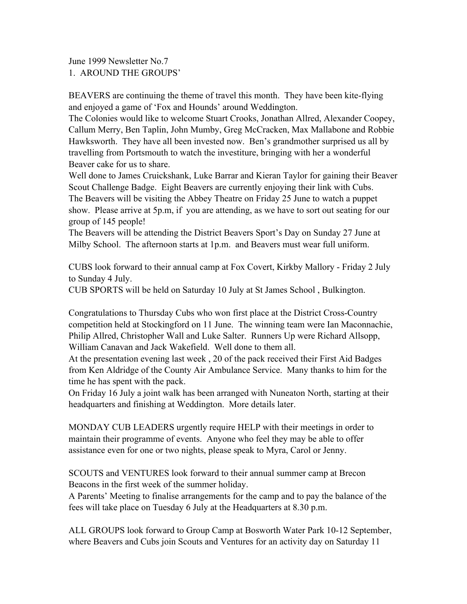June 1999 Newsletter No.7 1. AROUND THE GROUPS'

BEAVERS are continuing the theme of travel this month. They have been kite-flying and enjoyed a game of 'Fox and Hounds' around Weddington.

The Colonies would like to welcome Stuart Crooks, Jonathan Allred, Alexander Coopey, Callum Merry, Ben Taplin, John Mumby, Greg McCracken, Max Mallabone and Robbie Hawksworth. They have all been invested now. Ben's grandmother surprised us all by travelling from Portsmouth to watch the investiture, bringing with her a wonderful Beaver cake for us to share.

Well done to James Cruickshank, Luke Barrar and Kieran Taylor for gaining their Beaver Scout Challenge Badge. Eight Beavers are currently enjoying their link with Cubs. The Beavers will be visiting the Abbey Theatre on Friday 25 June to watch a puppet show. Please arrive at 5p.m, if you are attending, as we have to sort out seating for our group of 145 people!

The Beavers will be attending the District Beavers Sport's Day on Sunday 27 June at Milby School. The afternoon starts at 1p.m. and Beavers must wear full uniform.

CUBS look forward to their annual camp at Fox Covert, Kirkby Mallory - Friday 2 July to Sunday 4 July.

CUB SPORTS will be held on Saturday 10 July at St James School , Bulkington.

Congratulations to Thursday Cubs who won first place at the District Cross-Country competition held at Stockingford on 11 June. The winning team were Ian Maconnachie, Philip Allred, Christopher Wall and Luke Salter. Runners Up were Richard Allsopp, William Canavan and Jack Wakefield. Well done to them all.

At the presentation evening last week , 20 of the pack received their First Aid Badges from Ken Aldridge of the County Air Ambulance Service. Many thanks to him for the time he has spent with the pack.

On Friday 16 July a joint walk has been arranged with Nuneaton North, starting at their headquarters and finishing at Weddington. More details later.

MONDAY CUB LEADERS urgently require HELP with their meetings in order to maintain their programme of events. Anyone who feel they may be able to offer assistance even for one or two nights, please speak to Myra, Carol or Jenny.

SCOUTS and VENTURES look forward to their annual summer camp at Brecon Beacons in the first week of the summer holiday.

A Parents' Meeting to finalise arrangements for the camp and to pay the balance of the fees will take place on Tuesday 6 July at the Headquarters at 8.30 p.m.

ALL GROUPS look forward to Group Camp at Bosworth Water Park 10-12 September, where Beavers and Cubs join Scouts and Ventures for an activity day on Saturday 11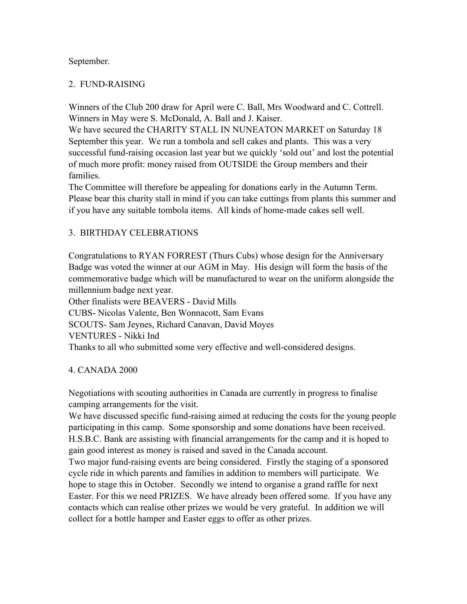#### September.

#### 2. FUND-RAISING

Winners of the Club 200 draw for April were C. Ball, Mrs Woodward and C. Cottrell. Winners in May were S. McDonald, A. Ball and J. Kaiser.

We have secured the CHARITY STALL IN NUNEATON MARKET on Saturday 18 September this year. We run a tombola and sell cakes and plants. This was a very successful fund-raising occasion last year but we quickly 'sold out' and lost the potential of much more profit: money raised from OUTSIDE the Group members and their families.

The Committee will therefore be appealing for donations early in the Autumn Term. Please bear this charity stall in mind if you can take cuttings from plants this summer and if you have any suitable tombola items. All kinds of home-made cakes sell well.

## 3. BIRTHDAY CELEBRATIONS

Congratulations to RYAN FORREST (Thurs Cubs) whose design for the Anniversary Badge was voted the winner at our AGM in May. His design will form the basis of the commemorative badge which will be manufactured to wear on the uniform alongside the millennium badge next year.

Other finalists were BEAVERS - David Mills CUBS- Nicolas Valente, Ben Wonnacott, Sam Evans SCOUTS- Sam Jeynes, Richard Canavan, David Moyes VENTURES - Nikki Ind Thanks to all who submitted some very effective and well-considered designs.

## 4. CANADA 2000

Negotiations with scouting authorities in Canada are currently in progress to finalise camping arrangements for the visit.

We have discussed specific fund-raising aimed at reducing the costs for the young people participating in this camp. Some sponsorship and some donations have been received. H.S.B.C. Bank are assisting with financial arrangements for the camp and it is hoped to gain good interest as money is raised and saved in the Canada account.

Two major fund-raising events are being considered. Firstly the staging of a sponsored cycle ride in which parents and families in addition to members will participate. We hope to stage this in October. Secondly we intend to organise a grand raffle for next Easter. For this we need PRIZES. We have already been offered some. If you have any contacts which can realise other prizes we would be very grateful. In addition we will collect for a bottle hamper and Easter eggs to offer as other prizes.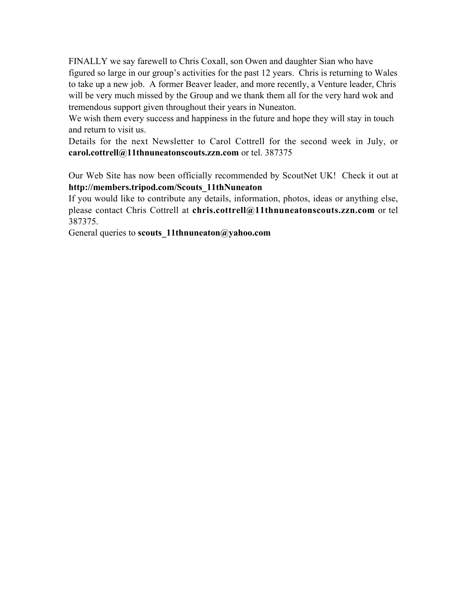FINALLY we say farewell to Chris Coxall, son Owen and daughter Sian who have figured so large in our group's activities for the past 12 years. Chris is returning to Wales to take up a new job. A former Beaver leader, and more recently, a Venture leader, Chris will be very much missed by the Group and we thank them all for the very hard wok and tremendous support given throughout their years in Nuneaton.

We wish them every success and happiness in the future and hope they will stay in touch and return to visit us.

Details for the next Newsletter to Carol Cottrell for the second week in July, or **carol.cottrell@11thnuneatonscouts.zzn.com** or tel. 387375

Our Web Site has now been officially recommended by ScoutNet UK! Check it out at **http://members.tripod.com/Scouts\_11thNuneaton**

If you would like to contribute any details, information, photos, ideas or anything else, please contact Chris Cottrell at **chris.cottrell@11thnuneatonscouts.zzn.com** or tel 387375.

General queries to **scouts\_11thnuneaton@yahoo.com**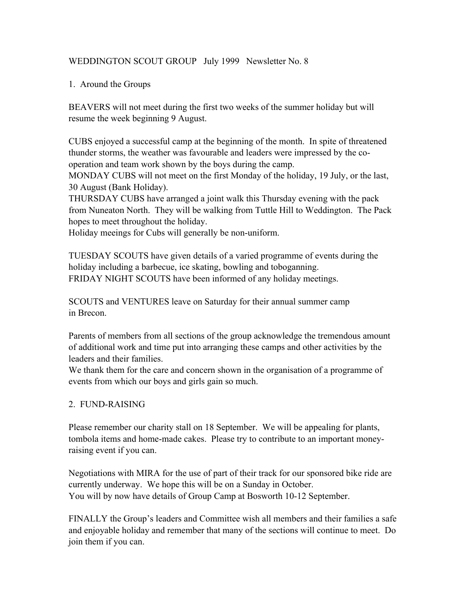# WEDDINGTON SCOUT GROUP July 1999 Newsletter No. 8

## 1. Around the Groups

BEAVERS will not meet during the first two weeks of the summer holiday but will resume the week beginning 9 August.

CUBS enjoyed a successful camp at the beginning of the month. In spite of threatened thunder storms, the weather was favourable and leaders were impressed by the cooperation and team work shown by the boys during the camp.

MONDAY CUBS will not meet on the first Monday of the holiday, 19 July, or the last, 30 August (Bank Holiday).

THURSDAY CUBS have arranged a joint walk this Thursday evening with the pack from Nuneaton North. They will be walking from Tuttle Hill to Weddington. The Pack hopes to meet throughout the holiday.

Holiday meeings for Cubs will generally be non-uniform.

TUESDAY SCOUTS have given details of a varied programme of events during the holiday including a barbecue, ice skating, bowling and toboganning. FRIDAY NIGHT SCOUTS have been informed of any holiday meetings.

SCOUTS and VENTURES leave on Saturday for their annual summer camp in Brecon.

Parents of members from all sections of the group acknowledge the tremendous amount of additional work and time put into arranging these camps and other activities by the leaders and their families.

We thank them for the care and concern shown in the organisation of a programme of events from which our boys and girls gain so much.

## 2. FUND-RAISING

Please remember our charity stall on 18 September. We will be appealing for plants, tombola items and home-made cakes. Please try to contribute to an important moneyraising event if you can.

Negotiations with MIRA for the use of part of their track for our sponsored bike ride are currently underway. We hope this will be on a Sunday in October. You will by now have details of Group Camp at Bosworth 10-12 September.

FINALLY the Group's leaders and Committee wish all members and their families a safe and enjoyable holiday and remember that many of the sections will continue to meet. Do join them if you can.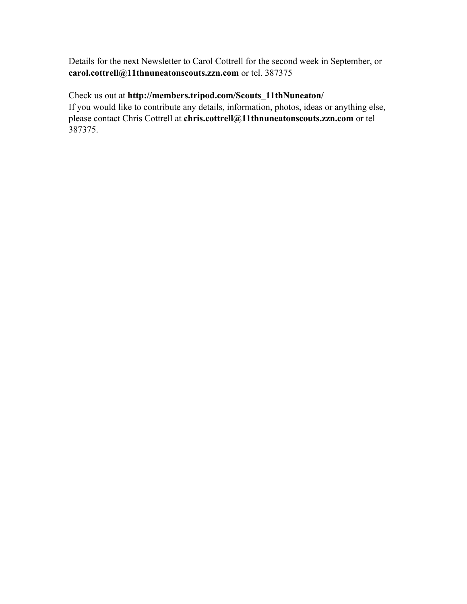Details for the next Newsletter to Carol Cottrell for the second week in September, or **carol.cottrell@11thnuneatonscouts.zzn.com** or tel. 387375

Check us out at **http://members.tripod.com/Scouts\_11thNuneaton/** If you would like to contribute any details, information, photos, ideas or anything else, please contact Chris Cottrell at **chris.cottrell@11thnuneatonscouts.zzn.com** or tel 387375.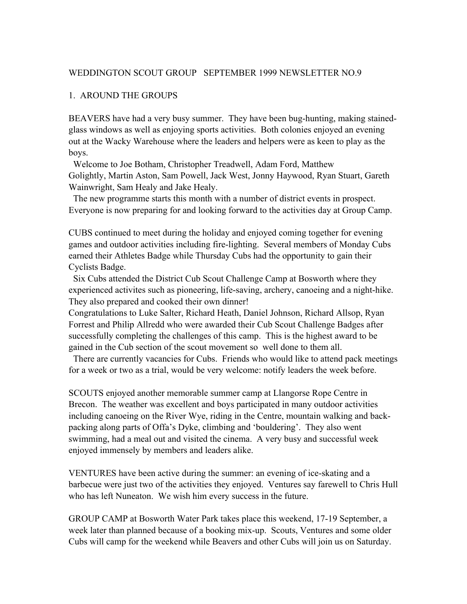#### WEDDINGTON SCOUT GROUP SEPTEMBER 1999 NEWSLETTER NO.9

#### 1. AROUND THE GROUPS

BEAVERS have had a very busy summer. They have been bug-hunting, making stainedglass windows as well as enjoying sports activities. Both colonies enjoyed an evening out at the Wacky Warehouse where the leaders and helpers were as keen to play as the boys.

 Welcome to Joe Botham, Christopher Treadwell, Adam Ford, Matthew Golightly, Martin Aston, Sam Powell, Jack West, Jonny Haywood, Ryan Stuart, Gareth Wainwright, Sam Healy and Jake Healy.

 The new programme starts this month with a number of district events in prospect. Everyone is now preparing for and looking forward to the activities day at Group Camp.

CUBS continued to meet during the holiday and enjoyed coming together for evening games and outdoor activities including fire-lighting. Several members of Monday Cubs earned their Athletes Badge while Thursday Cubs had the opportunity to gain their Cyclists Badge.

 Six Cubs attended the District Cub Scout Challenge Camp at Bosworth where they experienced activites such as pioneering, life-saving, archery, canoeing and a night-hike. They also prepared and cooked their own dinner!

Congratulations to Luke Salter, Richard Heath, Daniel Johnson, Richard Allsop, Ryan Forrest and Philip Allredd who were awarded their Cub Scout Challenge Badges after successfully completing the challenges of this camp. This is the highest award to be gained in the Cub section of the scout movement so well done to them all.

 There are currently vacancies for Cubs. Friends who would like to attend pack meetings for a week or two as a trial, would be very welcome: notify leaders the week before.

SCOUTS enjoyed another memorable summer camp at Llangorse Rope Centre in Brecon. The weather was excellent and boys participated in many outdoor activities including canoeing on the River Wye, riding in the Centre, mountain walking and backpacking along parts of Offa's Dyke, climbing and 'bouldering'. They also went swimming, had a meal out and visited the cinema. A very busy and successful week enjoyed immensely by members and leaders alike.

VENTURES have been active during the summer: an evening of ice-skating and a barbecue were just two of the activities they enjoyed. Ventures say farewell to Chris Hull who has left Nuneaton. We wish him every success in the future.

GROUP CAMP at Bosworth Water Park takes place this weekend, 17-19 September, a week later than planned because of a booking mix-up. Scouts, Ventures and some older Cubs will camp for the weekend while Beavers and other Cubs will join us on Saturday.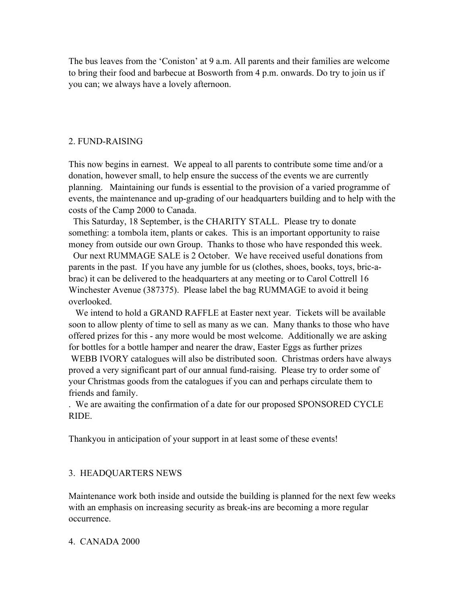The bus leaves from the 'Coniston' at 9 a.m. All parents and their families are welcome to bring their food and barbecue at Bosworth from 4 p.m. onwards. Do try to join us if you can; we always have a lovely afternoon.

#### 2. FUND-RAISING

This now begins in earnest. We appeal to all parents to contribute some time and/or a donation, however small, to help ensure the success of the events we are currently planning. Maintaining our funds is essential to the provision of a varied programme of events, the maintenance and up-grading of our headquarters building and to help with the costs of the Camp 2000 to Canada.

 This Saturday, 18 September, is the CHARITY STALL. Please try to donate something: a tombola item, plants or cakes. This is an important opportunity to raise money from outside our own Group. Thanks to those who have responded this week.

 Our next RUMMAGE SALE is 2 October. We have received useful donations from parents in the past. If you have any jumble for us (clothes, shoes, books, toys, bric-abrac) it can be delivered to the headquarters at any meeting or to Carol Cottrell 16 Winchester Avenue (387375). Please label the bag RUMMAGE to avoid it being overlooked.

 We intend to hold a GRAND RAFFLE at Easter next year. Tickets will be available soon to allow plenty of time to sell as many as we can. Many thanks to those who have offered prizes for this - any more would be most welcome. Additionally we are asking for bottles for a bottle hamper and nearer the draw, Easter Eggs as further prizes WEBB IVORY catalogues will also be distributed soon. Christmas orders have always proved a very significant part of our annual fund-raising. Please try to order some of your Christmas goods from the catalogues if you can and perhaps circulate them to friends and family.

. We are awaiting the confirmation of a date for our proposed SPONSORED CYCLE RIDE.

Thankyou in anticipation of your support in at least some of these events!

#### 3. HEADQUARTERS NEWS

Maintenance work both inside and outside the building is planned for the next few weeks with an emphasis on increasing security as break-ins are becoming a more regular occurrence.

#### 4. CANADA 2000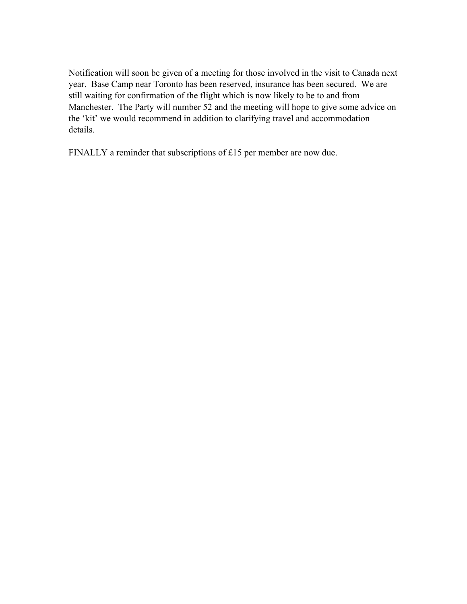Notification will soon be given of a meeting for those involved in the visit to Canada next year. Base Camp near Toronto has been reserved, insurance has been secured. We are still waiting for confirmation of the flight which is now likely to be to and from Manchester. The Party will number 52 and the meeting will hope to give some advice on the 'kit' we would recommend in addition to clarifying travel and accommodation details.

FINALLY a reminder that subscriptions of £15 per member are now due.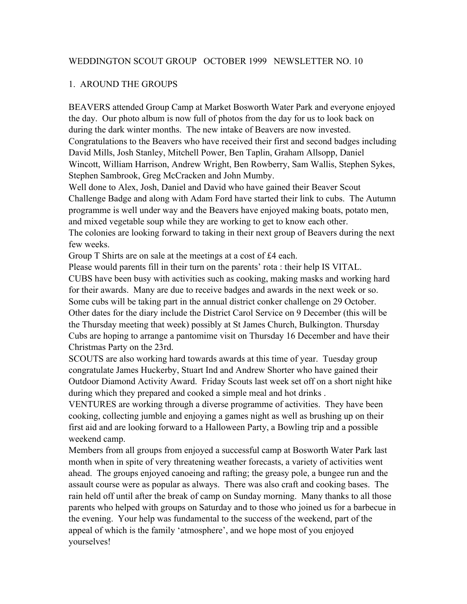## WEDDINGTON SCOUT GROUP OCTOBER 1999 NEWSLETTER NO. 10

## 1. AROUND THE GROUPS

BEAVERS attended Group Camp at Market Bosworth Water Park and everyone enjoyed the day. Our photo album is now full of photos from the day for us to look back on during the dark winter months. The new intake of Beavers are now invested. Congratulations to the Beavers who have received their first and second badges including David Mills, Josh Stanley, Mitchell Power, Ben Taplin, Graham Allsopp, Daniel Wincott, William Harrison, Andrew Wright, Ben Rowberry, Sam Wallis, Stephen Sykes, Stephen Sambrook, Greg McCracken and John Mumby.

Well done to Alex, Josh, Daniel and David who have gained their Beaver Scout Challenge Badge and along with Adam Ford have started their link to cubs. The Autumn programme is well under way and the Beavers have enjoyed making boats, potato men, and mixed vegetable soup while they are working to get to know each other.

The colonies are looking forward to taking in their next group of Beavers during the next few weeks.

Group T Shirts are on sale at the meetings at a cost of £4 each.

Please would parents fill in their turn on the parents' rota : their help IS VITAL. CUBS have been busy with activities such as cooking, making masks and working hard for their awards. Many are due to receive badges and awards in the next week or so. Some cubs will be taking part in the annual district conker challenge on 29 October. Other dates for the diary include the District Carol Service on 9 December (this will be the Thursday meeting that week) possibly at St James Church, Bulkington. Thursday Cubs are hoping to arrange a pantomime visit on Thursday 16 December and have their Christmas Party on the 23rd.

SCOUTS are also working hard towards awards at this time of year. Tuesday group congratulate James Huckerby, Stuart Ind and Andrew Shorter who have gained their Outdoor Diamond Activity Award. Friday Scouts last week set off on a short night hike during which they prepared and cooked a simple meal and hot drinks .

VENTURES are working through a diverse programme of activities. They have been cooking, collecting jumble and enjoying a games night as well as brushing up on their first aid and are looking forward to a Halloween Party, a Bowling trip and a possible weekend camp.

Members from all groups from enjoyed a successful camp at Bosworth Water Park last month when in spite of very threatening weather forecasts, a variety of activities went ahead. The groups enjoyed canoeing and rafting; the greasy pole, a bungee run and the assault course were as popular as always. There was also craft and cooking bases. The rain held off until after the break of camp on Sunday morning. Many thanks to all those parents who helped with groups on Saturday and to those who joined us for a barbecue in the evening. Your help was fundamental to the success of the weekend, part of the appeal of which is the family 'atmosphere', and we hope most of you enjoyed yourselves!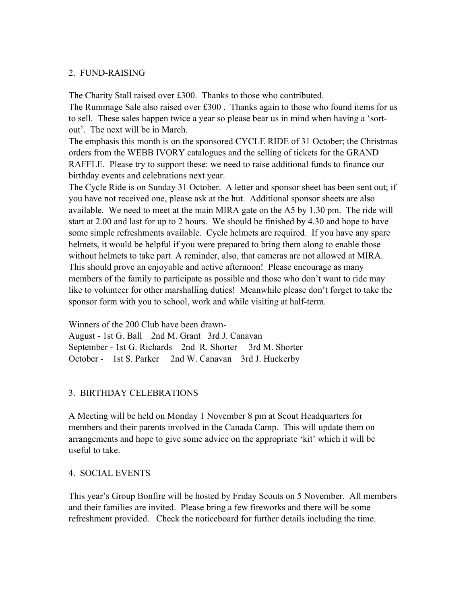#### 2. FUND-RAISING

The Charity Stall raised over £300. Thanks to those who contributed. The Rummage Sale also raised over  $£300$ . Thanks again to those who found items for us to sell. These sales happen twice a year so please bear us in mind when having a 'sortout'. The next will be in March.

The emphasis this month is on the sponsored CYCLE RIDE of 31 October; the Christmas orders from the WEBB IVORY catalogues and the selling of tickets for the GRAND RAFFLE. Please try to support these: we need to raise additional funds to finance our birthday events and celebrations next year.

The Cycle Ride is on Sunday 31 October. A letter and sponsor sheet has been sent out; if you have not received one, please ask at the hut. Additional sponsor sheets are also available. We need to meet at the main MIRA gate on the A5 by 1.30 pm. The ride will start at 2.00 and last for up to 2 hours. We should be finished by 4.30 and hope to have some simple refreshments available. Cycle helmets are required. If you have any spare helmets, it would be helpful if you were prepared to bring them along to enable those without helmets to take part. A reminder, also, that cameras are not allowed at MIRA. This should prove an enjoyable and active afternoon! Please encourage as many members of the family to participate as possible and those who don't want to ride may like to volunteer for other marshalling duties! Meanwhile please don't forget to take the sponsor form with you to school, work and while visiting at half-term.

Winners of the 200 Club have been drawn-August - 1st G. Ball 2nd M. Grant 3rd J. Canavan September - 1st G. Richards 2nd R. Shorter 3rd M. Shorter October - 1st S. Parker 2nd W. Canavan 3rd J. Huckerby

## 3. BIRTHDAY CELEBRATIONS

A Meeting will be held on Monday 1 November 8 pm at Scout Headquarters for members and their parents involved in the Canada Camp. This will update them on arrangements and hope to give some advice on the appropriate 'kit' which it will be useful to take.

## 4. SOCIAL EVENTS

This year's Group Bonfire will be hosted by Friday Scouts on 5 November. All members and their families are invited. Please bring a few fireworks and there will be some refreshment provided. Check the noticeboard for further details including the time.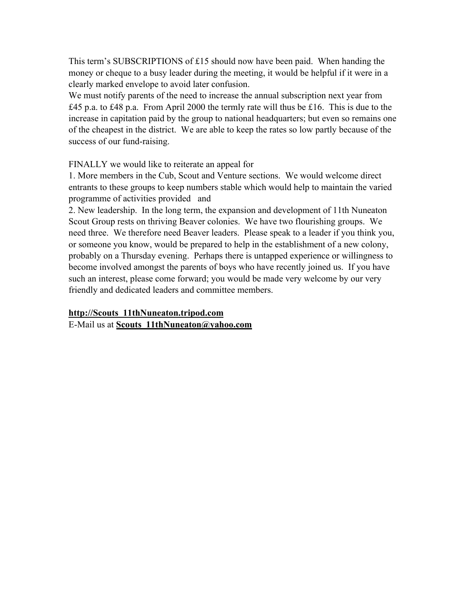This term's SUBSCRIPTIONS of £15 should now have been paid. When handing the money or cheque to a busy leader during the meeting, it would be helpful if it were in a clearly marked envelope to avoid later confusion.

We must notify parents of the need to increase the annual subscription next year from £45 p.a. to £48 p.a. From April 2000 the termly rate will thus be £16. This is due to the increase in capitation paid by the group to national headquarters; but even so remains one of the cheapest in the district. We are able to keep the rates so low partly because of the success of our fund-raising.

FINALLY we would like to reiterate an appeal for

1. More members in the Cub, Scout and Venture sections. We would welcome direct entrants to these groups to keep numbers stable which would help to maintain the varied programme of activities provided and

2. New leadership. In the long term, the expansion and development of 11th Nuneaton Scout Group rests on thriving Beaver colonies. We have two flourishing groups. We need three. We therefore need Beaver leaders. Please speak to a leader if you think you, or someone you know, would be prepared to help in the establishment of a new colony, probably on a Thursday evening. Perhaps there is untapped experience or willingness to become involved amongst the parents of boys who have recently joined us. If you have such an interest, please come forward; you would be made very welcome by our very friendly and dedicated leaders and committee members.

**http://Scouts\_11thNuneaton.tripod.com** E-Mail us at **Scouts\_11thNuneaton@yahoo.com**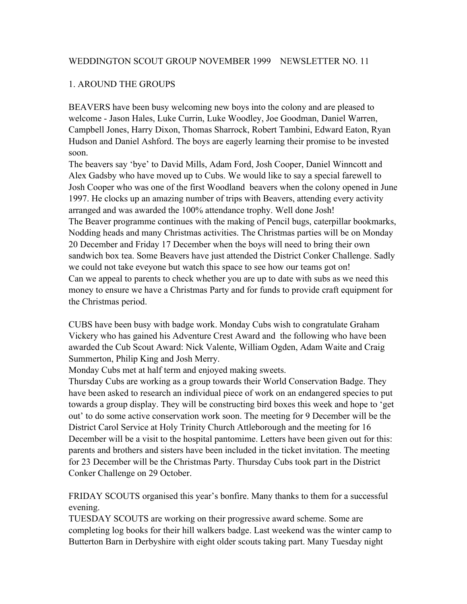## WEDDINGTON SCOUT GROUP NOVEMBER 1999 NEWSLETTER NO. 11

#### 1. AROUND THE GROUPS

BEAVERS have been busy welcoming new boys into the colony and are pleased to welcome - Jason Hales, Luke Currin, Luke Woodley, Joe Goodman, Daniel Warren, Campbell Jones, Harry Dixon, Thomas Sharrock, Robert Tambini, Edward Eaton, Ryan Hudson and Daniel Ashford. The boys are eagerly learning their promise to be invested soon.

The beavers say 'bye' to David Mills, Adam Ford, Josh Cooper, Daniel Winncott and Alex Gadsby who have moved up to Cubs. We would like to say a special farewell to Josh Cooper who was one of the first Woodland beavers when the colony opened in June 1997. He clocks up an amazing number of trips with Beavers, attending every activity arranged and was awarded the 100% attendance trophy. Well done Josh! The Beaver programme continues with the making of Pencil bugs, caterpillar bookmarks, Nodding heads and many Christmas activities. The Christmas parties will be on Monday 20 December and Friday 17 December when the boys will need to bring their own sandwich box tea. Some Beavers have just attended the District Conker Challenge. Sadly we could not take eveyone but watch this space to see how our teams got on! Can we appeal to parents to check whether you are up to date with subs as we need this money to ensure we have a Christmas Party and for funds to provide craft equipment for the Christmas period.

CUBS have been busy with badge work. Monday Cubs wish to congratulate Graham Vickery who has gained his Adventure Crest Award and the following who have been awarded the Cub Scout Award: Nick Valente, William Ogden, Adam Waite and Craig Summerton, Philip King and Josh Merry.

Monday Cubs met at half term and enjoyed making sweets.

Thursday Cubs are working as a group towards their World Conservation Badge. They have been asked to research an individual piece of work on an endangered species to put towards a group display. They will be constructing bird boxes this week and hope to 'get out' to do some active conservation work soon. The meeting for 9 December will be the District Carol Service at Holy Trinity Church Attleborough and the meeting for 16 December will be a visit to the hospital pantomime. Letters have been given out for this: parents and brothers and sisters have been included in the ticket invitation. The meeting for 23 December will be the Christmas Party. Thursday Cubs took part in the District Conker Challenge on 29 October.

FRIDAY SCOUTS organised this year's bonfire. Many thanks to them for a successful evening.

TUESDAY SCOUTS are working on their progressive award scheme. Some are completing log books for their hill walkers badge. Last weekend was the winter camp to Butterton Barn in Derbyshire with eight older scouts taking part. Many Tuesday night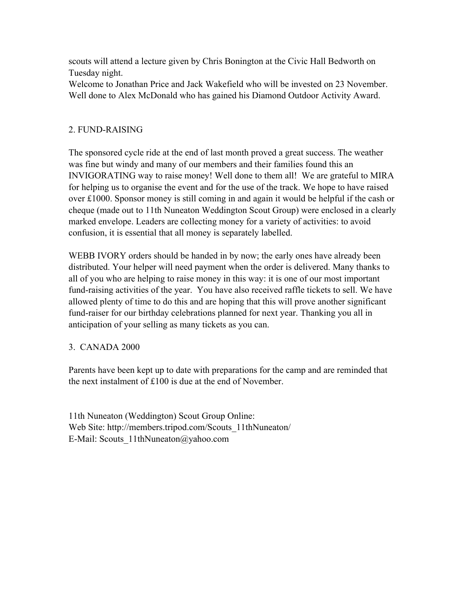scouts will attend a lecture given by Chris Bonington at the Civic Hall Bedworth on Tuesday night.

Welcome to Jonathan Price and Jack Wakefield who will be invested on 23 November. Well done to Alex McDonald who has gained his Diamond Outdoor Activity Award.

# 2. FUND-RAISING

The sponsored cycle ride at the end of last month proved a great success. The weather was fine but windy and many of our members and their families found this an INVIGORATING way to raise money! Well done to them all! We are grateful to MIRA for helping us to organise the event and for the use of the track. We hope to have raised over £1000. Sponsor money is still coming in and again it would be helpful if the cash or cheque (made out to 11th Nuneaton Weddington Scout Group) were enclosed in a clearly marked envelope. Leaders are collecting money for a variety of activities: to avoid confusion, it is essential that all money is separately labelled.

WEBB IVORY orders should be handed in by now; the early ones have already been distributed. Your helper will need payment when the order is delivered. Many thanks to all of you who are helping to raise money in this way: it is one of our most important fund-raising activities of the year. You have also received raffle tickets to sell. We have allowed plenty of time to do this and are hoping that this will prove another significant fund-raiser for our birthday celebrations planned for next year. Thanking you all in anticipation of your selling as many tickets as you can.

## 3. CANADA 2000

Parents have been kept up to date with preparations for the camp and are reminded that the next instalment of £100 is due at the end of November.

11th Nuneaton (Weddington) Scout Group Online: Web Site: http://members.tripod.com/Scouts\_11thNuneaton/ E-Mail: Scouts\_11thNuneaton@yahoo.com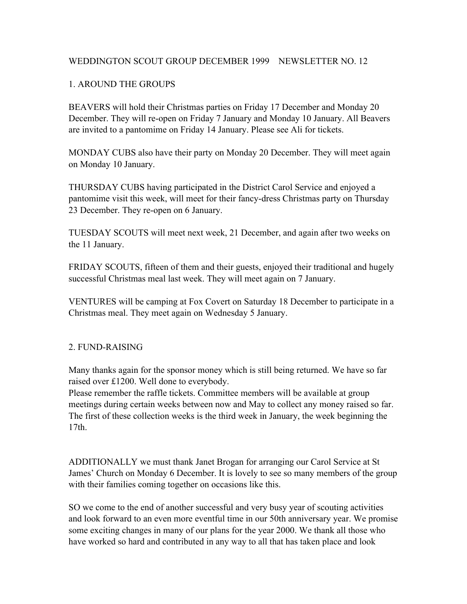## WEDDINGTON SCOUT GROUP DECEMBER 1999 NEWSLETTER NO. 12

## 1. AROUND THE GROUPS

BEAVERS will hold their Christmas parties on Friday 17 December and Monday 20 December. They will re-open on Friday 7 January and Monday 10 January. All Beavers are invited to a pantomime on Friday 14 January. Please see Ali for tickets.

MONDAY CUBS also have their party on Monday 20 December. They will meet again on Monday 10 January.

THURSDAY CUBS having participated in the District Carol Service and enjoyed a pantomime visit this week, will meet for their fancy-dress Christmas party on Thursday 23 December. They re-open on 6 January.

TUESDAY SCOUTS will meet next week, 21 December, and again after two weeks on the 11 January.

FRIDAY SCOUTS, fifteen of them and their guests, enjoyed their traditional and hugely successful Christmas meal last week. They will meet again on 7 January.

VENTURES will be camping at Fox Covert on Saturday 18 December to participate in a Christmas meal. They meet again on Wednesday 5 January.

## 2. FUND-RAISING

Many thanks again for the sponsor money which is still being returned. We have so far raised over £1200. Well done to everybody.

Please remember the raffle tickets. Committee members will be available at group meetings during certain weeks between now and May to collect any money raised so far. The first of these collection weeks is the third week in January, the week beginning the 17th.

ADDITIONALLY we must thank Janet Brogan for arranging our Carol Service at St James' Church on Monday 6 December. It is lovely to see so many members of the group with their families coming together on occasions like this.

SO we come to the end of another successful and very busy year of scouting activities and look forward to an even more eventful time in our 50th anniversary year. We promise some exciting changes in many of our plans for the year 2000. We thank all those who have worked so hard and contributed in any way to all that has taken place and look